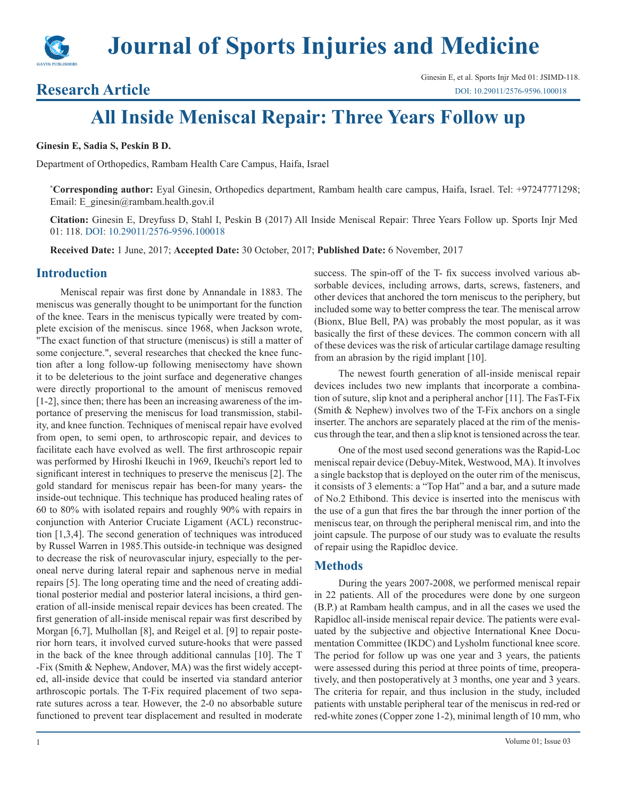

# **Research Article**

# **All Inside Meniscal Repair: Three Years Follow up**

**Ginesin E, Sadia S, Peskin B D.**

Department of Orthopedics, Rambam Health Care Campus, Haifa, Israel

**\* Corresponding author:** Eyal Ginesin, Orthopedics department, Rambam health care campus, Haifa, Israel. Tel: +97247771298; Email: E\_ginesin@rambam.health.gov.il

**Citation:** Ginesin E, Dreyfuss D, Stahl I, Peskin B (2017) All Inside Meniscal Repair: Three Years Follow up. Sports Injr Med 01: 118. DOI: [10.29011](http://www.google.com/url?q=http%3A%2F%2Fdoi.org%2F&sa=D&sntz=1&usg=AFQjCNEKKsfy91mZme57ZyNt-mnXakkcWw)/2576-9596.100018

**Received Date:** 1 June, 2017; **Accepted Date:** 30 October, 2017; **Published Date:** 6 November, 2017

#### **Introduction**

Meniscal repair was first done by Annandale in 1883. The meniscus was generally thought to be unimportant for the function of the knee. Tears in the meniscus typically were treated by complete excision of the meniscus. since 1968, when Jackson wrote, "The exact function of that structure (meniscus) is still a matter of some conjecture.", several researches that checked the knee function after a long follow-up following menisectomy have shown it to be deleterious to the joint surface and degenerative changes were directly proportional to the amount of meniscus removed [1-2], since then; there has been an increasing awareness of the importance of preserving the meniscus for load transmission, stability, and knee function. Techniques of meniscal repair have evolved from open, to semi open, to arthroscopic repair, and devices to facilitate each have evolved as well. The first arthroscopic repair was performed by Hiroshi Ikeuchi in 1969, Ikeuchi's report led to significant interest in techniques to preserve the meniscus [2]. The gold standard for meniscus repair has been-for many years- the inside-out technique. This technique has produced healing rates of 60 to 80% with isolated repairs and roughly 90% with repairs in conjunction with Anterior Cruciate Ligament (ACL) reconstruction [1,3,4]. The second generation of techniques was introduced by Russel Warren in 1985.This outside-in technique was designed to decrease the risk of neurovascular injury, especially to the peroneal nerve during lateral repair and saphenous nerve in medial repairs [5]. The long operating time and the need of creating additional posterior medial and posterior lateral incisions, a third generation of all-inside meniscal repair devices has been created. The first generation of all-inside meniscal repair was first described by Morgan [6,7], Mulhollan [8], and Reigel et al. [9] to repair posterior horn tears, it involved curved suture-hooks that were passed in the back of the knee through additional cannulas [10]. The T -Fix (Smith & Nephew, Andover, MA) was the first widely accepted, all-inside device that could be inserted via standard anterior arthroscopic portals. The T-Fix required placement of two separate sutures across a tear. However, the 2-0 no absorbable suture functioned to prevent tear displacement and resulted in moderate

success. The spin-off of the T- fix success involved various absorbable devices, including arrows, darts, screws, fasteners, and other devices that anchored the torn meniscus to the periphery, but included some way to better compress the tear. The meniscal arrow (Bionx, Blue Bell, PA) was probably the most popular, as it was basically the first of these devices. The common concern with all of these devices was the risk of articular cartilage damage resulting from an abrasion by the rigid implant [10].

The newest fourth generation of all-inside meniscal repair devices includes two new implants that incorporate a combination of suture, slip knot and a peripheral anchor [11]. The FasT-Fix (Smith & Nephew) involves two of the T-Fix anchors on a single inserter. The anchors are separately placed at the rim of the meniscus through the tear, and then a slip knot is tensioned across the tear.

One of the most used second generations was the Rapid-Loc meniscal repair device (Debuy-Mitek, Westwood, MA). It involves a single backstop that is deployed on the outer rim of the meniscus, it consists of 3 elements: a "Top Hat" and a bar, and a suture made of No.2 Ethibond. This device is inserted into the meniscus with the use of a gun that fires the bar through the inner portion of the meniscus tear, on through the peripheral meniscal rim, and into the joint capsule. The purpose of our study was to evaluate the results of repair using the Rapidloc device.

#### **Methods**

During the years 2007-2008, we performed meniscal repair in 22 patients. All of the procedures were done by one surgeon (B.P.) at Rambam health campus, and in all the cases we used the Rapidloc all-inside meniscal repair device. The patients were evaluated by the subjective and objective International Knee Documentation Committee (IKDC) and Lysholm functional knee score. The period for follow up was one year and 3 years, the patients were assessed during this period at three points of time, preoperatively, and then postoperatively at 3 months, one year and 3 years. The criteria for repair, and thus inclusion in the study, included patients with unstable peripheral tear of the meniscus in red-red or red-white zones (Copper zone 1-2), minimal length of 10 mm, who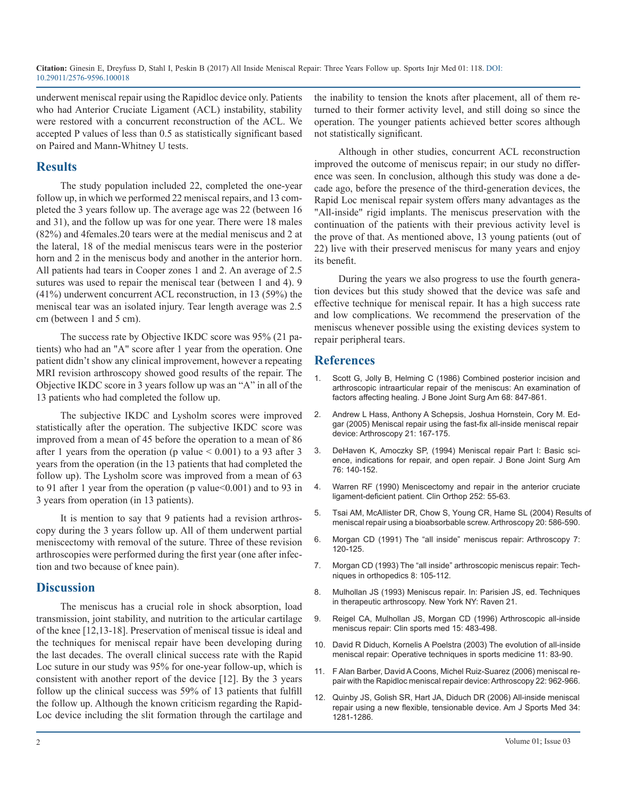**Citation:** Ginesin E, Dreyfuss D, Stahl I, Peskin B (2017) All Inside Meniscal Repair: Three Years Follow up. Sports Injr Med 01: 118. DOI[:](http://www.google.com/url?q=http%3A%2F%2Fdoi.org%2F&sa=D&sntz=1&usg=AFQjCNEKKsfy91mZme57ZyNt-mnXakkcWw) [10.29011](http://www.google.com/url?q=http%3A%2F%2Fdoi.org%2F&sa=D&sntz=1&usg=AFQjCNEKKsfy91mZme57ZyNt-mnXakkcWw)/2576-9596.100018

underwent meniscal repair using the Rapidloc device only. Patients who had Anterior Cruciate Ligament (ACL) instability, stability were restored with a concurrent reconstruction of the ACL. We accepted P values of less than 0.5 as statistically significant based on Paired and Mann-Whitney U tests.

### **Results**

The study population included 22, completed the one-year follow up, in which we performed 22 meniscal repairs, and 13 completed the 3 years follow up. The average age was 22 (between 16 and 31), and the follow up was for one year. There were 18 males (82%) and 4females.20 tears were at the medial meniscus and 2 at the lateral, 18 of the medial meniscus tears were in the posterior horn and 2 in the meniscus body and another in the anterior horn. All patients had tears in Cooper zones 1 and 2. An average of 2.5 sutures was used to repair the meniscal tear (between 1 and 4). 9 (41%) underwent concurrent ACL reconstruction, in 13 (59%) the meniscal tear was an isolated injury. Tear length average was 2.5 cm (between 1 and 5 cm).

The success rate by Objective IKDC score was 95% (21 patients) who had an "A" score after 1 year from the operation. One patient didn't show any clinical improvement, however a repeating MRI revision arthroscopy showed good results of the repair. The Objective IKDC score in 3 years follow up was an "A" in all of the 13 patients who had completed the follow up.

The subjective IKDC and Lysholm scores were improved statistically after the operation. The subjective IKDC score was improved from a mean of 45 before the operation to a mean of 86 after 1 years from the operation (p value  $\leq 0.001$ ) to a 93 after 3 years from the operation (in the 13 patients that had completed the follow up). The Lysholm score was improved from a mean of 63 to 91 after 1 year from the operation (p value < 0.001) and to 93 in 3 years from operation (in 13 patients).

It is mention to say that 9 patients had a revision arthroscopy during the 3 years follow up. All of them underwent partial meniscectomy with removal of the suture. Three of these revision arthroscopies were performed during the first year (one after infection and two because of knee pain).

# **Discussion**

The meniscus has a crucial role in shock absorption, load transmission, joint stability, and nutrition to the articular cartilage of the knee [12,13-18]. Preservation of meniscal tissue is ideal and the techniques for meniscal repair have been developing during the last decades. The overall clinical success rate with the Rapid Loc suture in our study was 95% for one-year follow-up, which is consistent with another report of the device [12]. By the 3 years follow up the clinical success was 59% of 13 patients that fulfill the follow up. Although the known criticism regarding the Rapid-Loc device including the slit formation through the cartilage and

the inability to tension the knots after placement, all of them returned to their former activity level, and still doing so since the operation. The younger patients achieved better scores although not statistically significant.

Although in other studies, concurrent ACL reconstruction improved the outcome of meniscus repair; in our study no difference was seen. In conclusion, although this study was done a decade ago, before the presence of the third-generation devices, the Rapid Loc meniscal repair system offers many advantages as the "All-inside" rigid implants. The meniscus preservation with the continuation of the patients with their previous activity level is the prove of that. As mentioned above, 13 young patients (out of 22) live with their preserved meniscus for many years and enjoy its benefit.

During the years we also progress to use the fourth generation devices but this study showed that the device was safe and effective technique for meniscal repair. It has a high success rate and low complications. We recommend the preservation of the meniscus whenever possible using the existing devices system to repair peripheral tears.

# **References**

- Scott G, Jolly B, Helming C (1986) Combined posterior incision and arthroscopic intraarticular repair of the meniscus: An examination o[f](https://www.ncbi.nlm.nih.gov/pubmed/3755440)  [factors affecting healing. J Bone Joint Surg Am 68: 847-861.](https://www.ncbi.nlm.nih.gov/pubmed/3755440)
- 2. [Andrew L Hass, Anthony A Schepsis, Joshua Hornstein, Cory M. Ed](https://www.ncbi.nlm.nih.gov/pubmed/15689865)gar (2005) Meniscal repair using the fast-fix all-inside meniscal repair [device: Arthroscopy 21: 167-175.](https://www.ncbi.nlm.nih.gov/pubmed/15689865)
- 3. [DeHaven K, Amoczky SP, \(1994\) Meniscal repair Part I: Basic sci](http://journals.lww.com/jbjsjournal/Citation/1994/01000/Meniscal_Repair__PART_I___BASIC_SCIENCE,.20.aspx)ence, indications for repair, and open repair. J Bone Joint Surg Am [76: 140-152.](http://journals.lww.com/jbjsjournal/Citation/1994/01000/Meniscal_Repair__PART_I___BASIC_SCIENCE,.20.aspx)
- 4. [Warren RF \(1990\) Meniscectomy and repair in the anterior cruciate](https://www.ncbi.nlm.nih.gov/pubmed/2302896)  ligament-deficient patient. Clin Orthop 252: 55-63.
- 5. [Tsai AM, McAllister DR, Chow S, Young CR, Hame SL \(2004\) Results](https://www.ncbi.nlm.nih.gov/pubmed/15241308) of meniscal repair using a bioabsorbable screw. Arthroscopy 20: 586-590[.](https://www.ncbi.nlm.nih.gov/pubmed/15241308)
- 6. Morgan CD (1991) The "all inside" meniscus repair: Arthroscopy 7: 120-125.
- 7. Morgan CD (1993) The "all inside" arthroscopic meniscus repair: Techniques in orthopedics 8: 105-112.
- 8. Mulhollan JS (1993) Meniscus repair. In: Parisien JS, ed. Techniques in therapeutic arthroscopy. New York NY: Raven 21.
- 9. [Reigel CA, Mulhollan JS, Morgan CD \(1996\) Arthroscopic all-inside](https://www.ncbi.nlm.nih.gov/pubmed/8800531)  meniscus repair: Clin sports med 15: 483-498.
- 10. [David R Diduch, Kornelis A Poelstra \(2003\) The evolution of all-inside](http://www.arthroscopyjournal.org/article/S1060-1872(03)80035-7/fulltext)  meniscal repair: Operative techniques in sports medicine 11: 83-90.
- 11. [F Alan Barber, David A Coons, Michel Ruiz-Suarez \(2006\) meniscal re](https://www.ncbi.nlm.nih.gov/pubmed/16952725)pair with the Rapidloc meniscal repair device: Arthroscopy 22: 962-966[.](https://www.ncbi.nlm.nih.gov/pubmed/16952725)
- 12. [Quinby JS, Golish SR, Hart JA, Diduch DR \(2006\) All-inside meniscal](http://journals.sagepub.com/doi/abs/10.1177/0363546505286143)  repair using a new flexible, tensionable device. Am J Sports Med 34: [1281-1286.](http://journals.sagepub.com/doi/abs/10.1177/0363546505286143)